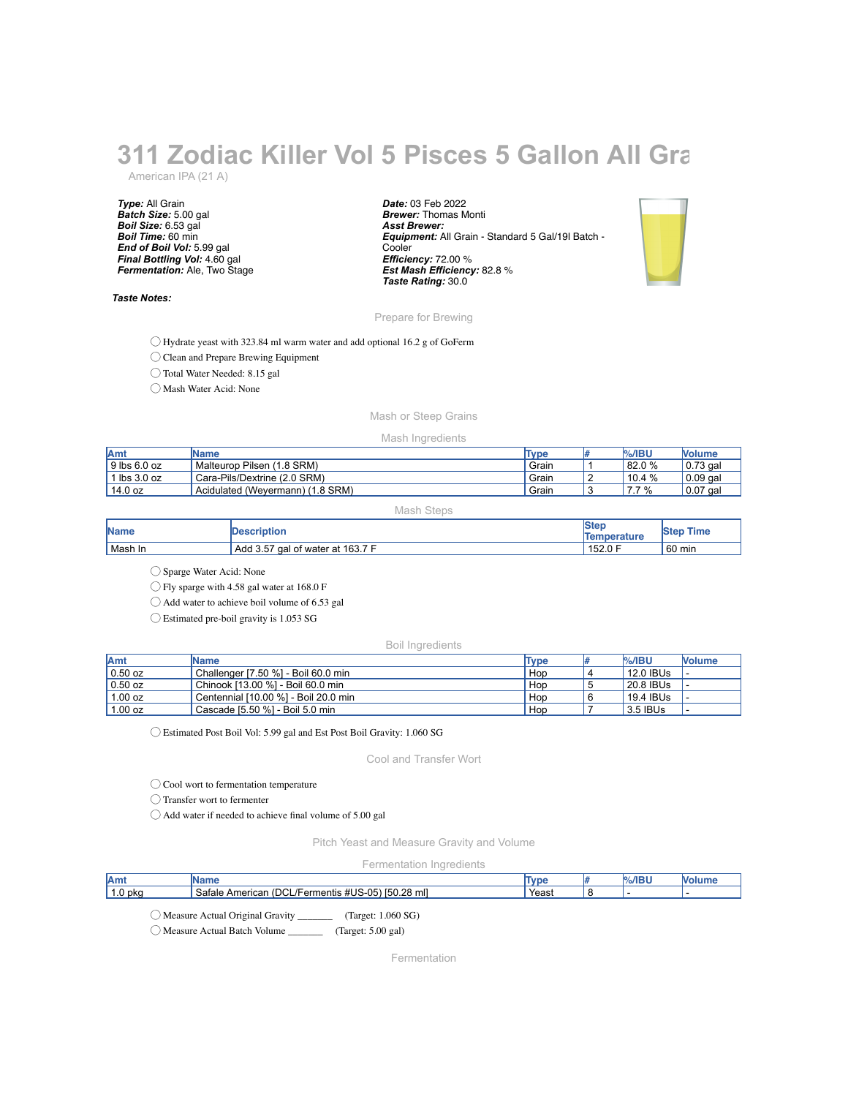# **311 Zodiac Killer Vol 5 Pisces 5 Gallon All Grand** American IPA (21 A)

*Type:* All Grain *Batch Size:* 5.00 gal *Boil Size:* 6.53 gal *Boil Time:* 60 min *End of Boil Vol:* 5.99 gal *Final Bottling Vol:* 4.60 gal *Fermentation:* Ale, Two Stage

## *Taste Notes:*

*Date:* 03 Feb 2022 *Brewer:* Thomas Monti *Asst Brewer: Equipment:* All Grain - Standard 5 Gal/19l Batch - **Cooler** *Efficiency:* 72.00 % *Est Mash Efficiency:* 82.8 % *Taste Rating:* 30.0



Prepare for Brewing

◯ Hydrate yeast with 323.84 ml warm water and add optional 16.2 g of GoFerm

◯ Clean and Prepare Brewing Equipment

◯ Total Water Needed: 8.15 gal

◯ Mash Water Acid: None

## Mash or Steep Grains

### Mash Ingredients

| <b>Amt</b>           | <b>IName</b>                     | <b>Type</b> | $\frac{9}{6}$ /IBU | <b>Nolume</b>    |
|----------------------|----------------------------------|-------------|--------------------|------------------|
| $\vert$ 9 lbs 6.0 oz | Malteurop Pilsen (1.8 SRM)       | Grain       | 82.0%              | $\vert$ 0.73 gal |
| $'$ lbs 3.0 oz       | Cara-Pils/Dextrine (2.0 SRM)     | Grain       | 10.4%              | $\vert$ 0.09 gal |
| 14.0 oz              | Acidulated (Wevermann) (1.8 SRM) | Grain       | 7.7%               | $0.07$ gal       |

Mash Steps

| <b>Name</b> | <b>Description</b>               | <b>Ster</b><br><b>Temperature</b> | <b>Time</b><br><b>Step</b> |
|-------------|----------------------------------|-----------------------------------|----------------------------|
| Mash In     | Add 3.57 gal of water at 163.7 F | 152.0 F                           | 60 min                     |

◯ Sparge Water Acid: None

◯ Fly sparge with 4.58 gal water at 168.0 F

◯ Add water to achieve boil volume of 6.53 gal

◯ Estimated pre-boil gravity is 1.053 SG

#### Boil Ingredients

| <b>Amt</b> | <b>IName</b>                         | Type | <b>%/IBU</b> | <b>Nolume</b> |
|------------|--------------------------------------|------|--------------|---------------|
| $0.50$ oz  | Challenger [7.50 %] - Boil 60.0 min  | Hop  | 12.0 IBUs    |               |
| $0.50$ oz  | Chinook [13.00 %] - Boil 60.0 min    | Hop  | 20.8 IBUs    |               |
| 1.00 oz    | Centennial [10.00 %] - Boil 20.0 min | Hop  | 19.4 IBUs    |               |
| 1.00 oz    | Cascade [5.50 %] - Boil 5.0 min      | Hop  | 3.5 IBUs     | . .           |

◯ Estimated Post Boil Vol: 5.99 gal and Est Post Boil Gravity: 1.060 SG

Cool and Transfer Wort

◯ Cool wort to fermentation temperature

◯ Transfer wort to fermenter

◯ Add water if needed to achieve final volume of 5.00 gal

Pitch Yeast and Measure Gravity and Volume

Fermentation Ingredients

| <b>Amt</b> | Name                                                  | <b>Type</b> | $%$ /IBU |  |
|------------|-------------------------------------------------------|-------------|----------|--|
| 1.0 pka    | Safale American (DCL/Fermentis #US-05) [50.28 ml]     | Yeast       |          |  |
|            | (Target: 1.060 SG)<br>Measure Actual Original Gravity |             |          |  |

◯ Measure Actual Batch Volume \_\_\_\_\_\_\_ (Target: 5.00 gal)

Fermentation